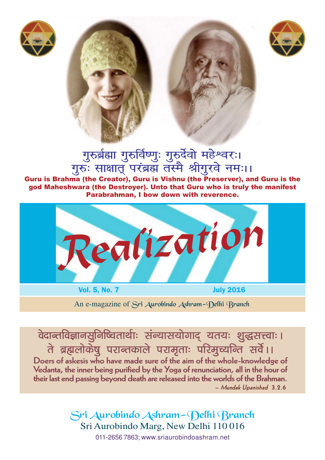



# गुरुर्ब्रह्मा गुरुर्विष्णुः गुरुर्देवो महेश्वरः। गुरुः साक्षात् परंब्रह्म तस्मै श्रीगुरवे नमः।।

Guru is Brahma (the Creator), Guru is Vishnu (the Preserver), and Guru is the god Maheshwara (the Destroyer). Unto that Guru who is truly the manifest Parabrahman, I bow down with reverence.



An e-magazine of Sri Aurobindo Ashram-Delhi Branch

वेदान्तविज्ञानसुनिष्चितार्थाः संन्यासयोगाद् यतयः शुद्धसत्त्वाः। ते ब्रह्मलोकेषु परान्तकाले परामृताः परिमुच्यन्ति सर्वे।। **Doers of askesis who have made sure of the aim of the whole-knowledge of Vedanta, the inner being purified by the Yoga of renunciation, all in the hour of their last end passing beyond death are released into the worlds of the Brahman. – Mundak Upanishad 3.2.6**

> Sri Aurobindo Ashram-Delhi Branch Sri Aurobindo Marg, New Delhi 110 016

011-2656 7863; www.sriaurobindoashram.net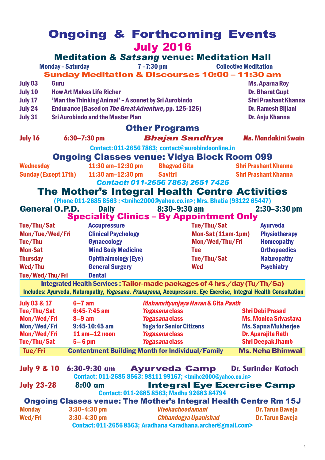|                                                                                                                                  | <b>Ongoing &amp; Forthcoming Events</b>                                                          |                                                         |                    |                                                            |                                                            |
|----------------------------------------------------------------------------------------------------------------------------------|--------------------------------------------------------------------------------------------------|---------------------------------------------------------|--------------------|------------------------------------------------------------|------------------------------------------------------------|
|                                                                                                                                  |                                                                                                  | <b>July 2016</b>                                        |                    |                                                            |                                                            |
|                                                                                                                                  | <b>Meditation &amp; Satsang venue: Meditation Hall</b>                                           |                                                         |                    |                                                            |                                                            |
| <b>Monday - Saturday</b>                                                                                                         |                                                                                                  | $7 - 7:30$ pm                                           |                    | <b>Collective Meditation</b>                               |                                                            |
|                                                                                                                                  | <b>Sunday Meditation &amp; Discourses 10:00 - 11:30 am</b>                                       |                                                         |                    |                                                            |                                                            |
| <b>Guru</b><br>July 03                                                                                                           |                                                                                                  |                                                         |                    |                                                            | <b>Ms. Aparna Roy</b>                                      |
| July 10<br><b>How Art Makes Life Richer</b>                                                                                      |                                                                                                  |                                                         |                    | <b>Dr. Bharat Gupt</b>                                     |                                                            |
| July 17                                                                                                                          |                                                                                                  |                                                         |                    |                                                            | <b>Shri Prashant Khanna</b>                                |
| 'Man the Thinking Animal' - A sonnet by Sri Aurobindo<br>July 24<br><b>Endurance (Based on The Great Adventure, pp. 125-126)</b> |                                                                                                  |                                                         |                    |                                                            | Dr. Ramesh Bijlani                                         |
| <b>Sri Aurobindo and the Master Plan</b><br><b>July 31</b>                                                                       |                                                                                                  |                                                         |                    |                                                            | Dr. Anju Khanna                                            |
|                                                                                                                                  |                                                                                                  | <b>Other Programs</b>                                   |                    |                                                            |                                                            |
| July 16                                                                                                                          | $6:30 - 7:30$ pm                                                                                 | <b>Bhajan Sandhya</b>                                   |                    |                                                            | Ms. Mandakini Swain                                        |
|                                                                                                                                  | Contact: 011-2656 7863; contact@aurobindoonline.in                                               |                                                         |                    |                                                            |                                                            |
|                                                                                                                                  | <b>Ongoing Classes venue: Vidya Block Room 099</b>                                               |                                                         |                    |                                                            |                                                            |
| <b>Wednesday</b>                                                                                                                 | 11:30 am-12:30 pm                                                                                | <b>Bhagvad Gita</b>                                     |                    |                                                            |                                                            |
| <b>Sunday (Except 17th)</b>                                                                                                      | 11:30 am-12:30 pm                                                                                | <b>Savitri</b>                                          |                    | <b>Shri Prashant Khanna</b><br><b>Shri Prashant Khanna</b> |                                                            |
|                                                                                                                                  |                                                                                                  | Contact: 011-2656 7863; 2651 7426                       |                    |                                                            |                                                            |
|                                                                                                                                  | <b>The Mother's Integral Health Centre Activities</b>                                            |                                                         |                    |                                                            |                                                            |
|                                                                                                                                  |                                                                                                  |                                                         |                    |                                                            |                                                            |
|                                                                                                                                  | (Phone 011-2685 8563; <tmihc2000@yahoo.co.in>; Mrs. Bhatia (93122 65447)</tmihc2000@yahoo.co.in> |                                                         |                    |                                                            |                                                            |
| <b>General O.P.D.</b>                                                                                                            | <b>Daily</b><br><b>Speciality Clinics - By Appointment Only</b>                                  | $8:30 - 9:30$ am                                        |                    |                                                            | $2:30 - 3:30$ pm                                           |
|                                                                                                                                  | <b>Accupressure</b>                                                                              |                                                         | Tue/Thu/Sat        |                                                            | <b>Ayurveda</b>                                            |
| Tue/Thu/Sat<br>Mon/Tue/Wed/Fri                                                                                                   | <b>Clinical Psychology</b>                                                                       |                                                         | Mon-Sat (11am-1pm) |                                                            | <b>Physiotherapy</b>                                       |
| Tue/Thu                                                                                                                          | <b>Gynaecology</b>                                                                               |                                                         | Mon/Wed/Thu/Fri    |                                                            | <b>Homeopathy</b>                                          |
| <b>Mon-Sat</b>                                                                                                                   | <b>Mind Body Medicine</b>                                                                        |                                                         | <b>Tue</b>         |                                                            | <b>Orthopaedics</b>                                        |
| <b>Thursday</b>                                                                                                                  | <b>Ophthalmology (Eye)</b>                                                                       |                                                         | Tue/Thu/Sat        |                                                            | <b>Naturopathy</b>                                         |
| Wed/Thu                                                                                                                          | <b>General Surgery</b>                                                                           |                                                         | <b>Wed</b>         |                                                            | <b>Psychiatry</b>                                          |
| Tue/Wed/Thu/Fri                                                                                                                  | <b>Dental</b>                                                                                    |                                                         |                    |                                                            |                                                            |
|                                                                                                                                  | Integrated Health Services: Tailor-made packages of 4 hrs./day (Tu/Th/Sa)                        |                                                         |                    |                                                            |                                                            |
| Includes: Ayurveda, Naturopathy, <i>Yogasana, Pranayama</i> , Accupressure, Eye Exercise, Integral Health Consultation           |                                                                                                  |                                                         |                    |                                                            |                                                            |
|                                                                                                                                  |                                                                                                  |                                                         |                    |                                                            |                                                            |
| <b>July 03 &amp; 17</b><br>$6 - 7$ am                                                                                            |                                                                                                  | Mahamrityunjaya Havan & Gita Paath                      |                    |                                                            |                                                            |
| Tue/Thu/Sat                                                                                                                      | $6:45-7:45$ am                                                                                   | <i><b>Yogasanaclass</b></i>                             |                    |                                                            | <b>Shri Debi Prasad</b>                                    |
| Mon/Wed/Fri<br>$8-9$ am<br>Mon/Wed/Fri                                                                                           | $9:45-10:45$ am                                                                                  | <b>Yogasanaclass</b><br><b>Yoga for Senior Citizens</b> |                    |                                                            | <b>Ms. Monica Srivastava</b><br><b>Ms. Sapna Mukherjee</b> |
| Mon/Wed/Fri                                                                                                                      | $11$ am $-12$ noon                                                                               | <i><b>Yogasanaclass</b></i>                             |                    |                                                            | Dr. Aparajita Rath                                         |
| Tue/Thu/Sat<br>$5 - 6$ pm                                                                                                        |                                                                                                  | <b>Yogasanaclass</b>                                    |                    |                                                            | <b>Shri Deepak Jhamb</b>                                   |
| Tue/Fri                                                                                                                          | <b>Contentment Building Month for Individual/Family</b>                                          |                                                         |                    |                                                            | <b>Ms. Neha Bhimwal</b>                                    |
|                                                                                                                                  |                                                                                                  |                                                         |                    |                                                            |                                                            |
| <b>July 9 &amp; 10</b>                                                                                                           | 6:30-9:30 am Ayurveda Camp                                                                       |                                                         |                    |                                                            | <b>Dr. Surinder Katoch</b>                                 |
|                                                                                                                                  | Contact: 011-2685 8563; 98111 99167; <tmihc2000@yahoo.co.in></tmihc2000@yahoo.co.in>             |                                                         |                    |                                                            |                                                            |
| <b>July 23-28</b>                                                                                                                | $8:00$ am                                                                                        | <b>Integral Eye Exercise Camp</b>                       |                    |                                                            |                                                            |
|                                                                                                                                  |                                                                                                  | Contact: 011-2685 8563; Madhu 92683 84794               |                    |                                                            |                                                            |
| <b>Ongoing Classes venue: The Mother's Integral Health Centre Rm 15J</b>                                                         |                                                                                                  |                                                         |                    |                                                            |                                                            |
| <b>Monday</b>                                                                                                                    | 3:30-4:30 pm                                                                                     | <b>Vivekachoodamani</b>                                 |                    |                                                            | <b>Dr. Tarun Baveja</b>                                    |
| Wed/Fri                                                                                                                          | $3:30-4:30$ pm                                                                                   | <b>Chhandogya Upanishad</b>                             |                    |                                                            | <b>Dr. Tarun Baveja</b>                                    |
|                                                                                                                                  | Contact: 011-2656 8563; Aradhana <aradhana.archer@gmail.com></aradhana.archer@gmail.com>         |                                                         |                    |                                                            |                                                            |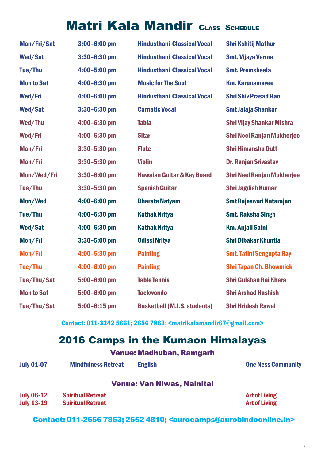# **Matri Kala Mandir CLASS SCHEDULE**

| Mon/Fri/Sat       | 3:00-6:00 pm     | <b>Hindusthani Classical Vocal</b>    | <b>Shri Kshitij Mathur</b>        |
|-------------------|------------------|---------------------------------------|-----------------------------------|
| Wed/Sat           | 3:30-6:30 pm     | <b>Hindusthani Classical Vocal</b>    | <b>Smt. Vijaya Verma</b>          |
| Tue/Thu           | 4:00-5:00 pm     | <b>Hindusthani Classical Vocal</b>    | <b>Smt. Premsheela</b>            |
| <b>Mon to Sat</b> | 4:00-6:30 pm     | <b>Music for The Soul</b>             | <b>Km. Karunamayee</b>            |
| Wed/Fri           | 4:00-6:00 pm     | <b>Hindusthani Classical Vocal</b>    | <b>Shri Shiv Prasad Rao</b>       |
| Wed/Sat           | 3:30-6:30 pm     | <b>Carnatic Vocal</b>                 | <b>Smt Jalaja Shankar</b>         |
| Wed/Thu           | 4:00-6:30 pm     | <b>Tabla</b>                          | <b>Shri Vijay Shankar Mishra</b>  |
| Wed/Fri           | 4:00-6:30 pm     | <b>Sitar</b>                          | <b>Shri Neel Ranjan Mukherjee</b> |
| Mon/Fri           | 3:30-5:30 pm     | <b>Flute</b>                          | <b>Shri Himanshu Dutt</b>         |
| Mon/Fri           | 3:30-5:30 pm     | <b>Violin</b>                         | <b>Dr. Ranjan Srivastav</b>       |
| Mon/Wed/Fri       | 3:30-6:00 pm     | <b>Hawaian Guitar &amp; Key Board</b> | <b>Shri Neel Ranjan Mukherjee</b> |
| Tue/Thu           | 3:30-5:30 pm     | <b>Spanish Guitar</b>                 | <b>Shri Jagdish Kumar</b>         |
| <b>Mon/Wed</b>    | $4:00 - 6:00$ pm | <b>Bharata Natyam</b>                 | <b>Smt Rajeswari Natarajan</b>    |
| Tue/Thu           | 4:00-6:30 pm     | <b>Kathak Nritya</b>                  | <b>Smt. Raksha Singh</b>          |
| Wed/Sat           | 4:00-6:30 pm     | <b>Kathak Nritya</b>                  | <b>Km. Anjali Saini</b>           |
| Mon/Fri           | $3:30 - 5:00$ pm | <b>Odissi Nritya</b>                  | <b>Shri Dibakar Khuntia</b>       |
| Mon/Fri           | 4:00-5:30 pm     | <b>Painting</b>                       | <b>Smt. Tatini Sengupta Ray</b>   |
| Tue/Thu           | 4:00-6:00 pm     | <b>Painting</b>                       | <b>Shri Tapan Ch. Bhowmick</b>    |
| Tue/Thu/Sat       | 5:00-6:00 pm     | <b>Table Tennis</b>                   | <b>Shri Gulshan Rai Khera</b>     |
| <b>Mon to Sat</b> | 5:00-6:00 pm     | <b>Taekwondo</b>                      | <b>Shri Arshad Hashish</b>        |
| Tue/Thu/Sat       | $5:00 - 6:15$ pm | <b>Basketball (M.I.S. students)</b>   | <b>Shri Hridesh Rawal</b>         |

Contact: 011-3242 5661; 2656 7863; <matrikalamandir67@gmail.com>

## 2016 Camps in the Kumaon Himalayas

| <b>Venue: Madhuban, Ramgarh</b> |                            |                                   |                           |  |  |  |  |
|---------------------------------|----------------------------|-----------------------------------|---------------------------|--|--|--|--|
| <b>July 01-07</b>               | <b>Mindfulness Retreat</b> | <b>English</b>                    | <b>One Ness Community</b> |  |  |  |  |
|                                 |                            | <b>Venue: Van Niwas, Nainital</b> |                           |  |  |  |  |
| <b>July 06-12</b>               | <b>Spiritual Retreat</b>   |                                   | <b>Art of Living</b>      |  |  |  |  |

Contact: 011-2656 7863; 2652 4810; <aurocamps@aurobindoonline.in>

July 13-19 Spiritual Retreat Art of Living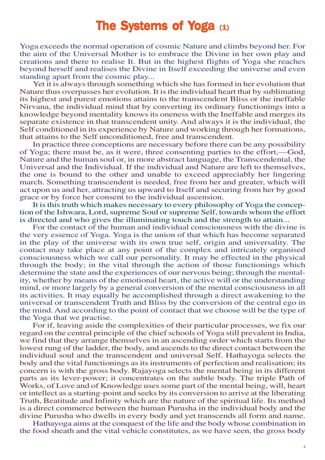# The Systems of Yoga (1)

Yoga exceeds the normal operation of cosmic Nature and climbs beyond her. For the aim of the Universal Mother is to embrace the Divine in her own play and creations and there to realise It. But in the highest flights of Yoga she reaches beyond herself and realises the Divine in Itself exceeding the universe and even standing apart from the cosmic play...

Yet it is always through something which she has formed in her evolution that Nature thus overpasses her evolution. It is the individual heart that by sublimating its highest and purest emotions attains to the transcendent Bliss or the ineffable Nirvana, the individual mind that by converting its ordinary functionings into a knowledge beyond mentality knows its oneness with the Ineffable and merges its separate existence in that transcendent unity. And always it is the individual, the Self conditioned in its experience by Nature and working through her formations, that attains to the Self unconditioned, free and transcendent.

In practice three conceptions are necessary before there can be any possibility of Yoga; there must be, as it were, three consenting parties to the effort,—God, Nature and the human soul or, in more abstract language, the Transcendental, the Universal and the Individual. If the individual and Nature are left to themselves, the one is bound to the other and unable to exceed appreciably her lingering march. Something transcendent is needed, free from her and greater, which will act upon us and her, attracting us upward to Itself and securing from her by good grace or by force her consent to the individual ascension.

It is this truth which makes necessary to every philosophy of Yoga the conception of the Ishwara, Lord, supreme Soul or supreme Self, towards whom the effort is directed and who gives the illuminating touch and the strength to attain...

For the contact of the human and individual consciousness with the divine is the very essence of Yoga. Yoga is the union of that which has become separated in the play of the universe with its own true self, origin and universality. The contact may take place at any point of the complex and intricately organised consciousness which we call our personality. It may be effected in the physical through the body; in the vital through the action of those functionings which determine the state and the experiences of our nervous being; through the mentality, whether by means of the emotional heart, the active will or the understanding mind, or more largely by a general conversion of the mental consciousness in all its activities. It may equally be accomplished through a direct awakening to the universal or transcendent Truth and Bliss by the conversion of the central ego in the mind. And according to the point of contact that we choose will be the type of the Yoga that we practise.

For if, leaving aside the complexities of their particular processes, we fix our regard on the central principle of the chief schools of Yoga still prevalent in India, we find that they arrange themselves in an ascending order which starts from the lowest rung of the ladder, the body, and ascends to the direct contact between the individual soul and the transcendent and universal Self. Hathayoga selects the body and the vital functionings as its instruments of perfection and realisation; its concern is with the gross body. Rajayoga selects the mental being in its different parts as its lever-power; it concentrates on the subtle body. The triple Path of Works, of Love and of Knowledge uses some part of the mental being, will, heart or intellect as a starting-point and seeks by its conversion to arrive at the liberating Truth, Beatitude and Infinity which are the nature of the spiritual life. Its method is a direct commerce between the human Purusha in the individual body and the divine Purusha who dwells in every body and yet transcends all form and name.

Hathayoga aims at the conquest of the life and the body whose combination in the food sheath and the vital vehicle constitutes, as we have seen, the gross body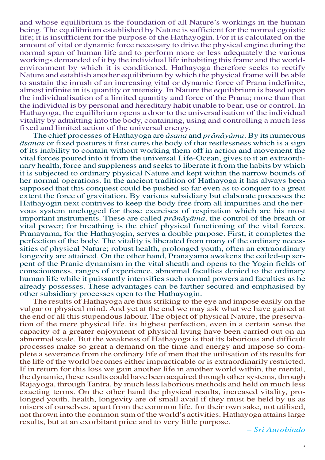and whose equilibrium is the foundation of all Nature's workings in the human being. The equilibrium established by Nature is sufficient for the normal egoistic life; it is insufficient for the purpose of the Hathayogin. For it is calculated on the amount of vital or dynamic force necessary to drive the physical engine during the normal span of human life and to perform more or less adequately the various workings demanded of it by the individual life inhabiting this frame and the worldenvironment by which it is conditioned. Hathayoga therefore seeks to rectify Nature and establish another equilibrium by which the physical frame will be able to sustain the inrush of an increasing vital or dynamic force of Prana indefinite, almost infinite in its quantity or intensity. In Nature the equilibrium is based upon the individualisation of a limited quantity and force of the Prana; more than that the individual is by personal and hereditary habit unable to bear, use or control. In Hathayoga, the equilibrium opens a door to the universalisation of the individual vitality by admitting into the body, containing, using and controlling a much less fixed and limited action of the universal energy.

The chief processes of Hathayoga are *âsana* and *prânâyâma*. By its numerous *âsanas* or fixed postures it first cures the body of that restlessness which is a sign of its inability to contain without working them off in action and movement the vital forces poured into it from the universal Life-Ocean, gives to it an extraordinary health, force and suppleness and seeks to liberate it from the habits by which it is subjected to ordinary physical Nature and kept within the narrow bounds of her normal operations. In the ancient tradition of Hathayoga it has always been supposed that this conquest could be pushed so far even as to conquer to a great extent the force of gravitation. By various subsidiary but elaborate processes the Hathayogin next contrives to keep the body free from all impurities and the nervous system unclogged for those exercises of respiration which are his most important instruments. These are called *prânâyâma*, the control of the breath or vital power; for breathing is the chief physical functioning of the vital forces. Pranayama, for the Hathayogin, serves a double purpose. First, it completes the perfection of the body. The vitality is liberated from many of the ordinary necessities of physical Nature; robust health, prolonged youth, often an extraordinary longevity are attained. On the other hand, Pranayama awakens the coiled-up serpent of the Pranic dynamism in the vital sheath and opens to the Yogin fields of consciousness, ranges of experience, abnormal faculties denied to the ordinary human life while it puissantly intensifies such normal powers and faculties as he already possesses. These advantages can be farther secured and emphasised by other subsidiary processes open to the Hathayogin.

The results of Hathayoga are thus striking to the eye and impose easily on the vulgar or physical mind. And yet at the end we may ask what we have gained at the end of all this stupendous labour. The object of physical Nature, the preservation of the mere physical life, its highest perfection, even in a certain sense the capacity of a greater enjoyment of physical living have been carried out on an abnormal scale. But the weakness of Hathayoga is that its laborious and difficult processes make so great a demand on the time and energy and impose so complete a severance from the ordinary life of men that the utilisation of its results for the life of the world becomes either impracticable or is extraordinarily restricted. If in return for this loss we gain another life in another world within, the mental, the dynamic, these results could have been acquired through other systems, through Rajayoga, through Tantra, by much less laborious methods and held on much less exacting terms. On the other hand the physical results, increased vitality, prolonged youth, health, longevity are of small avail if they must be held by us as misers of ourselves, apart from the common life, for their own sake, not utilised, not thrown into the common sum of the world's activities. Hathayoga attains large results, but at an exorbitant price and to very little purpose.

– *Sri Aurobindo*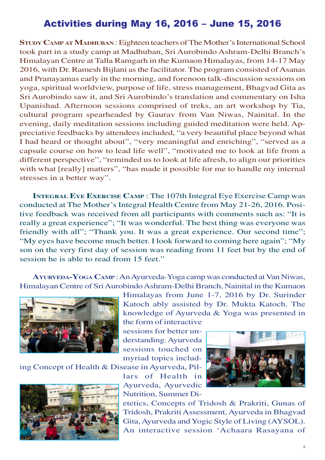## Activities during May 16, 2016 – June 15, 2016

**STUDY CAMP AT MADHUBAN** : Eighteen teachers of The Mother's International School took part in a study camp at Madhuban, Sri Aurobindo Ashram-Delhi Branch's Himalayan Centre at Talla Ramgarh in the Kumaon Himalayas, from 14-17 May 2016, with Dr. Ramesh Bijlani as the facilitator. The program consisted of Asanas and Pranayamas early in the morning, and forenoon talk-discussion sessions on yoga, spiritual worldview, purpose of life, stress management, Bhagvad Gita as Sri Aurobindo saw it, and Sri Aurobindo's translation and commentary on Isha Upanishad. Afternoon sessions comprised of treks, an art workshop by Tia, cultural program spearheaded by Gaurav from Van Niwas, Nainital. In the evening, daily meditation sessions including guided meditation were held. Appreciative feedbacks by attendees included, "a very beautiful place beyond what I had heard or thought about", "very meaningful and enriching", "served as a capsule course on how to lead life well", "motivated me to look at life from a different perspective", "reminded us to look at life afresh, to align our priorities with what [really] matters", "has made it possible for me to handle my internal stresses in a better way".

**INTEGRAL EYE EXERCISE CAMP** : The 107th Integral Eye Exercise Camp was conducted at The Mother's Integral Health Centre from May 21-26, 2016. Positive feedback was received from all participants with comments such as: "It is really a great experience"; "It was wonderful. The best thing was everyone was friendly with all"; "Thank you. It was a great experience. Our second time"; "My eyes have become much better. I look forward to coming here again"; "My son on the very first day of session was reading from 11 feet but by the end of session he is able to read from 15 feet."

**AYURVEDA-YOGA CAMP** : An Ayurveda-Yoga camp was conducted at Van Niwas, Himalayan Centre of Sri Aurobindo Ashram-Delhi Branch, Nainital in the Kumaon



Himalayas from June 1-7, 2016 by Dr. Surinder Katoch ably assisted by Dr. Mukta Katoch. The knowledge of Ayurveda & Yoga was presented in the form of interactive

sessions for better understanding. Ayurveda sessions touched on myriad topics includ-

ing Concept of Health & Disease in Ayurveda, Pil-



lars of Health in Ayurveda, Ayurvedic Nutrition, Summer Di-



etetics, Concepts of Tridosh & Prakriti, Gunas of Tridosh, Prakriti Assessment, Ayurveda in Bhagvad Gita, Ayurveda and Yogic Style of Living (AYSOL). An interactive session 'Achaara Rasayana of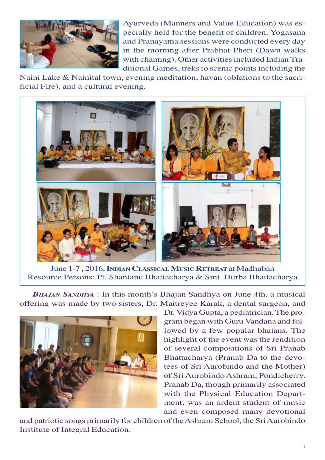

Ayurveda (Manners and Value Education) was especially held for the benefit of children. Yogasana and Pranayama sessions were conducted every day in the morning after Prabhat Pheri (Dawn walks with chanting). Other activities included Indian Traditional Games, treks to scenic points including the

Naini Lake & Nainital town, evening meditation, havan (oblations to the sacrificial Fire), and a cultural evening.



June 1-7 , 2016, **INDIAN CLASSICAL MUSIC RETREAT** at Madhuban Resource Persons: Pt. Shantanu Bhattacharya & Smt. Durba Bhattacharya

*BHAJAN SANDHYA* : In this month's Bhajan Sandhya on June 4th, a musical offering was made by two sisters, Dr. Maitreyee Karak, a dental surgeon, and



Dr. Vidya Gupta, a pediatrician. The program began with Guru Vandana and followed by a few popular bhajans. The highlight of the event was the rendition of several compositions of Sri Pranab Bhattacharya (Pranab Da to the devotees of Sri Aurobindo and the Mother) of Sri Aurobindo Ashram, Pondicherry. Pranab Da, though primarily associated with the Physical Education Department, was an ardent student of music and even composed many devotional

and patriotic songs primarily for children of the Ashram School, the Sri Aurobindo Institute of Integral Education.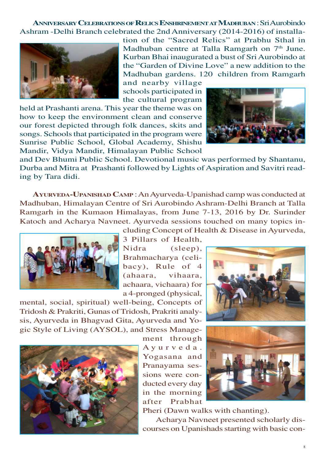**ANNIVERSARY CELEBRATIONSOF RELICS ENSHRINEMENTAT MADHUBAN** : Sri Aurobindo Ashram -Delhi Branch celebrated the 2nd Anniversary (2014-2016) of installa-



tion of the "Sacred Relics" at Prabhu Sthal in Madhuban centre at Talla Ramgarh on 7<sup>th</sup> June. Kurban Bhai inaugurated a bust of Sri Aurobindo at the "Garden of Divine Love" a new addition to the Madhuban gardens. 120 children from Ramgarh and nearby village

schools participated in the cultural program

held at Prashanti arena. This year the theme was on how to keep the environment clean and conserve our forest depicted through folk dances, skits and songs. Schools that participated in the program were Sunrise Public School, Global Academy, Shishu Mandir, Vidya Mandir, Himalayan Public School



and Dev Bhumi Public School. Devotional music was performed by Shantanu, Durba and Mitra at Prashanti followed by Lights of Aspiration and Savitri reading by Tara didi.

**AYURVEDA-UPANISHAD CAMP** : An Ayurveda-Upanishad camp was conducted at Madhuban, Himalayan Centre of Sri Aurobindo Ashram-Delhi Branch at Talla Ramgarh in the Kumaon Himalayas, from June 7-13, 2016 by Dr. Surinder Katoch and Acharya Navneet. Ayurveda sessions touched on many topics in-



cluding Concept of Health & Disease in Ayurveda,

3 Pillars of Health, Nidra (sleep), Brahmacharya (celibacy), Rule of 4 (ahaara, vihaara, achaara, vichaara) for a 4-pronged (physical,

mental, social, spiritual) well-being, Concepts of Tridosh & Prakriti, Gunas of Tridosh, Prakriti analysis, Ayurveda in Bhagvad Gita, Ayurveda and Yogic Style of Living (AYSOL), and Stress Manage-



ment through A yurveda. Yogasana and Pranayama sessions were conducted every day in the morning after Prabhat



Pheri (Dawn walks with chanting). Acharya Navneet presented scholarly discourses on Upanishads starting with basic con-

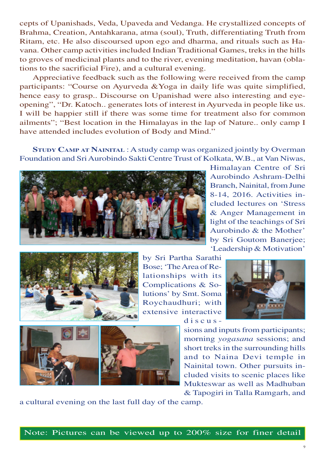cepts of Upanishads, Veda, Upaveda and Vedanga. He crystallized concepts of Brahma, Creation, Antahkarana, atma (soul), Truth, differentiating Truth from Ritam, etc. He also discoursed upon ego and dharma, and rituals such as Havana. Other camp activities included Indian Traditional Games, treks in the hills to groves of medicinal plants and to the river, evening meditation, havan (oblations to the sacrificial Fire), and a cultural evening.

Appreciative feedback such as the following were received from the camp participants: "Course on Ayurveda &Yoga in daily life was quite simplified, hence easy to grasp.. Discourse on Upanishad were also interesting and eyeopening", "Dr. Katoch.. generates lots of interest in Ayurveda in people like us. I will be happier still if there was some time for treatment also for common ailments"; "Best location in the Himalayas in the lap of Nature.. only camp I have attended includes evolution of Body and Mind."

**STUDY CAMP AT NAINITAL** : A study camp was organized jointly by Overman Foundation and Sri Aurobindo Sakti Centre Trust of Kolkata, W.B., at Van Niwas,



Himalayan Centre of Sri Aurobindo Ashram-Delhi Branch, Nainital, from June 8-14, 2016. Activities included lectures on 'Stress & Anger Management in light of the teachings of Sri Aurobindo & the Mother' by Sri Goutom Banerjee; 'Leadership & Motivation'



by Sri Partha Sarathi Bose; 'The Area of Relationships with its Complications & Solutions' by Smt. Soma Roychaudhuri; with extensive interactive





discus-

sions and inputs from participants; morning *yogasana* sessions; and short treks in the surrounding hills and to Naina Devi temple in Nainital town. Other pursuits included visits to scenic places like Mukteswar as well as Madhuban & Tapogiri in Talla Ramgarh, and

a cultural evening on the last full day of the camp.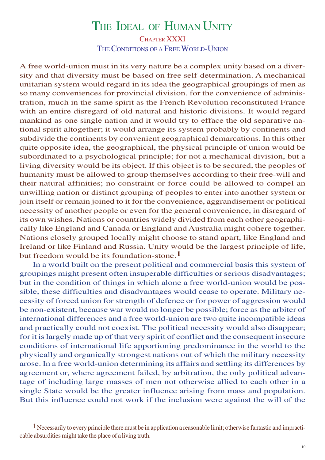### THE IDEAL OF HUMAN UNITY

CHAPTER XXXI THE CONDITIONS OF A FREE WORLD-UNION

A free world-union must in its very nature be a complex unity based on a diversity and that diversity must be based on free self-determination. A mechanical unitarian system would regard in its idea the geographical groupings of men as so many conveniences for provincial division, for the convenience of administration, much in the same spirit as the French Revolution reconstituted France with an entire disregard of old natural and historic divisions. It would regard mankind as one single nation and it would try to efface the old separative national spirit altogether; it would arrange its system probably by continents and subdivide the continents by convenient geographical demarcations. In this other quite opposite idea, the geographical, the physical principle of union would be subordinated to a psychological principle; for not a mechanical division, but a living diversity would be its object. If this object is to be secured, the peoples of humanity must be allowed to group themselves according to their free-will and their natural affinities; no constraint or force could be allowed to compel an unwilling nation or distinct grouping of peoples to enter into another system or join itself or remain joined to it for the convenience, aggrandisement or political necessity of another people or even for the general convenience, in disregard of its own wishes. Nations or countries widely divided from each other geographically like England and Canada or England and Australia might cohere together. Nations closely grouped locally might choose to stand apart, like England and Ireland or like Finland and Russia. Unity would be the largest principle of life, but freedom would be its foundation-stone.**1**

In a world built on the present political and commercial basis this system of groupings might present often insuperable difficulties or serious disadvantages; but in the condition of things in which alone a free world-union would be possible, these difficulties and disadvantages would cease to operate. Military necessity of forced union for strength of defence or for power of aggression would be non-existent, because war would no longer be possible; force as the arbiter of international differences and a free world-union are two quite incompatible ideas and practically could not coexist. The political necessity would also disappear; for it is largely made up of that very spirit of conflict and the consequent insecure conditions of international life apportioning predominance in the world to the physically and organically strongest nations out of which the military necessity arose. In a free world-union determining its affairs and settling its differences by agreement or, where agreement failed, by arbitration, the only political advantage of including large masses of men not otherwise allied to each other in a single State would be the greater influence arising from mass and population. But this influence could not work if the inclusion were against the will of the

 $1$  Necessarily to every principle there must be in application a reasonable limit; otherwise fantastic and impracticable absurdities might take the place of a living truth.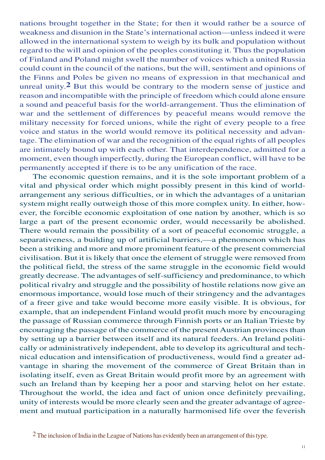nations brought together in the State; for then it would rather be a source of weakness and disunion in the State's international action—unless indeed it were allowed in the international system to weigh by its bulk and population without regard to the will and opinion of the peoples constituting it. Thus the population of Finland and Poland might swell the number of voices which a united Russia could count in the council of the nations, but the will, sentiment and opinions of the Finns and Poles be given no means of expression in that mechanical and unreal unity.<sup>2</sup> But this would be contrary to the modern sense of justice and unity.<sup>2</sup> But this would be contrary to the modern sense of justice and reason and incompatible with the principle of freedom which could alone ensure a sound and peaceful basis for the world-arrangement. Thus the elimination of war and the settlement of differences by peaceful means would remove the military necessity for forced unions, while the right of every people to a free voice and status in the world would remove its political necessity and advantage. The elimination of war and the recognition of the equal rights of all peoples are intimately bound up with each other. That interdependence, admitted for a moment, even though imperfectly, during the European conflict, will have to be permanently accepted if there is to be any unification of the race.

The economic question remains, and it is the sole important problem of a vital and physical order which might possibly present in this kind of worldarrangement any serious difficulties, or in which the advantages of a unitarian system might really outweigh those of this more complex unity. In either, however, the forcible economic exploitation of one nation by another, which is so large a part of the present economic order, would necessarily be abolished. There would remain the possibility of a sort of peaceful economic struggle, a separativeness, a building up of artificial barriers,—a phenomenon which has been a striking and more and more prominent feature of the present commercial civilisation. But it is likely that once the element of struggle were removed from the political field, the stress of the same struggle in the economic field would greatly decrease. The advantages of self-sufficiency and predominance, to which political rivalry and struggle and the possibility of hostile relations now give an enormous importance, would lose much of their stringency and the advantages of a freer give and take would become more easily visible. It is obvious, for example, that an independent Finland would profit much more by encouraging the passage of Russian commerce through Finnish ports or an Italian Trieste by encouraging the passage of the commerce of the present Austrian provinces than by setting up a barrier between itself and its natural feeders. An Ireland politically or administratively independent, able to develop its agricultural and technical education and intensification of productiveness, would find a greater advantage in sharing the movement of the commerce of Great Britain than in isolating itself, even as Great Britain would profit more by an agreement with such an Ireland than by keeping her a poor and starving helot on her estate. Throughout the world, the idea and fact of union once definitely prevailing, unity of interests would be more clearly seen and the greater advantage of agreement and mutual participation in a naturally harmonised life over the feverish

<sup>2</sup> The inclusion of India in the League of Nations has evidently been an arrangement of this type.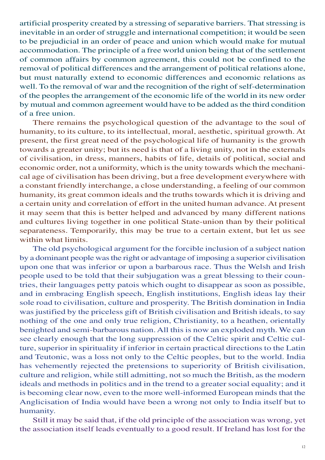artificial prosperity created by a stressing of separative barriers. That stressing is inevitable in an order of struggle and international competition; it would be seen to be prejudicial in an order of peace and union which would make for mutual accommodation. The principle of a free world union being that of the settlement of common affairs by common agreement, this could not be confined to the removal of political differences and the arrangement of political relations alone, but must naturally extend to economic differences and economic relations as well. To the removal of war and the recognition of the right of self-determination of the peoples the arrangement of the economic life of the world in its new order by mutual and common agreement would have to be added as the third condition of a free union.

There remains the psychological question of the advantage to the soul of humanity, to its culture, to its intellectual, moral, aesthetic, spiritual growth. At present, the first great need of the psychological life of humanity is the growth towards a greater unity; but its need is that of a living unity, not in the externals of civilisation, in dress, manners, habits of life, details of political, social and economic order, not a uniformity, which is the unity towards which the mechanical age of civilisation has been driving, but a free development everywhere with a constant friendly interchange, a close understanding, a feeling of our common humanity, its great common ideals and the truths towards which it is driving and a certain unity and correlation of effort in the united human advance. At present it may seem that this is better helped and advanced by many different nations and cultures living together in one political State-union than by their political separateness. Temporarily, this may be true to a certain extent, but let us see within what limits.

The old psychological argument for the forcible inclusion of a subject nation by a dominant people was the right or advantage of imposing a superior civilisation upon one that was inferior or upon a barbarous race. Thus the Welsh and Irish people used to be told that their subjugation was a great blessing to their countries, their languages petty patois which ought to disappear as soon as possible, and in embracing English speech, English institutions, English ideas lay their sole road to civilisation, culture and prosperity. The British domination in India was justified by the priceless gift of British civilisation and British ideals, to say nothing of the one and only true religion, Christianity, to a heathen, orientally benighted and semi-barbarous nation. All this is now an exploded myth. We can see clearly enough that the long suppression of the Celtic spirit and Celtic culture, superior in spirituality if inferior in certain practical directions to the Latin and Teutonic, was a loss not only to the Celtic peoples, but to the world. India has vehemently rejected the pretensions to superiority of British civilisation, culture and religion, while still admitting, not so much the British, as the modern ideals and methods in politics and in the trend to a greater social equality; and it is becoming clear now, even to the more well-informed European minds that the Anglicisation of India would have been a wrong not only to India itself but to humanity.

Still it may be said that, if the old principle of the association was wrong, yet the association itself leads eventually to a good result. If Ireland has lost for the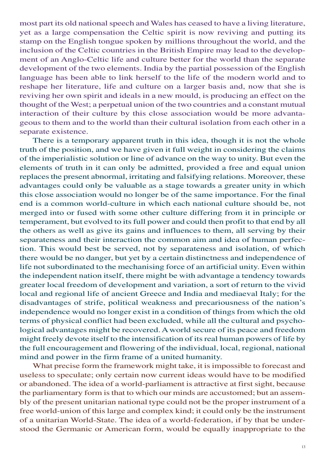most part its old national speech and Wales has ceased to have a living literature, yet as a large compensation the Celtic spirit is now reviving and putting its stamp on the English tongue spoken by millions throughout the world, and the inclusion of the Celtic countries in the British Empire may lead to the development of an Anglo-Celtic life and culture better for the world than the separate development of the two elements. India by the partial possession of the English language has been able to link herself to the life of the modern world and to reshape her literature, life and culture on a larger basis and, now that she is reviving her own spirit and ideals in a new mould, is producing an effect on the thought of the West; a perpetual union of the two countries and a constant mutual interaction of their culture by this close association would be more advantageous to them and to the world than their cultural isolation from each other in a separate existence.

There is a temporary apparent truth in this idea, though it is not the whole truth of the position, and we have given it full weight in considering the claims of the imperialistic solution or line of advance on the way to unity. But even the elements of truth in it can only be admitted, provided a free and equal union replaces the present abnormal, irritating and falsifying relations. Moreover, these advantages could only be valuable as a stage towards a greater unity in which this close association would no longer be of the same importance. For the final end is a common world-culture in which each national culture should be, not merged into or fused with some other culture differing from it in principle or temperament, but evolved to its full power and could then profit to that end by all the others as well as give its gains and influences to them, all serving by their separateness and their interaction the common aim and idea of human perfection. This would best be served, not by separateness and isolation, of which there would be no danger, but yet by a certain distinctness and independence of life not subordinated to the mechanising force of an artificial unity. Even within the independent nation itself, there might be with advantage a tendency towards greater local freedom of development and variation, a sort of return to the vivid local and regional life of ancient Greece and India and mediaeval Italy; for the disadvantages of strife, political weakness and precariousness of the nation's independence would no longer exist in a condition of things from which the old terms of physical conflict had been excluded, while all the cultural and psychological advantages might be recovered. A world secure of its peace and freedom might freely devote itself to the intensification of its real human powers of life by the full encouragement and flowering of the individual, local, regional, national mind and power in the firm frame of a united humanity.

What precise form the framework might take, it is impossible to forecast and useless to speculate; only certain now current ideas would have to be modified or abandoned. The idea of a world-parliament is attractive at first sight, because the parliamentary form is that to which our minds are accustomed; but an assembly of the present unitarian national type could not be the proper instrument of a free world-union of this large and complex kind; it could only be the instrument of a unitarian World-State. The idea of a world-federation, if by that be understood the Germanic or American form, would be equally inappropriate to the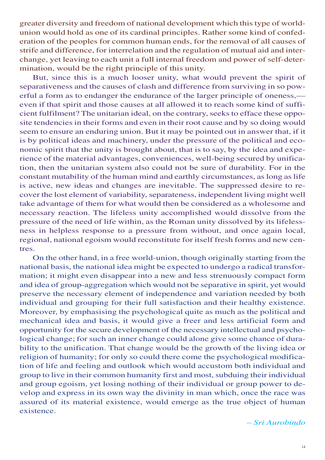greater diversity and freedom of national development which this type of worldunion would hold as one of its cardinal principles. Rather some kind of confederation of the peoples for common human ends, for the removal of all causes of strife and difference, for interrelation and the regulation of mutual aid and interchange, yet leaving to each unit a full internal freedom and power of self-determination, would be the right principle of this unity.

But, since this is a much looser unity, what would prevent the spirit of separativeness and the causes of clash and difference from surviving in so powerful a form as to endanger the endurance of the larger principle of oneness, even if that spirit and those causes at all allowed it to reach some kind of sufficient fulfilment? The unitarian ideal, on the contrary, seeks to efface these opposite tendencies in their forms and even in their root cause and by so doing would seem to ensure an enduring union. But it may be pointed out in answer that, if it is by political ideas and machinery, under the pressure of the political and economic spirit that the unity is brought about, that is to say, by the idea and experience of the material advantages, conveniences, well-being secured by unification, then the unitarian system also could not be sure of durability. For in the constant mutability of the human mind and earthly circumstances, as long as life is active, new ideas and changes are inevitable. The suppressed desire to recover the lost element of variability, separateness, independent living might well take advantage of them for what would then be considered as a wholesome and necessary reaction. The lifeless unity accomplished would dissolve from the pressure of the need of life within, as the Roman unity dissolved by its lifelessness in helpless response to a pressure from without, and once again local, regional, national egoism would reconstitute for itself fresh forms and new centres.

On the other hand, in a free world-union, though originally starting from the national basis, the national idea might be expected to undergo a radical transformation; it might even disappear into a new and less strenuously compact form and idea of group-aggregation which would not be separative in spirit, yet would preserve the necessary element of independence and variation needed by both individual and grouping for their full satisfaction and their healthy existence. Moreover, by emphasising the psychological quite as much as the political and mechanical idea and basis, it would give a freer and less artificial form and opportunity for the secure development of the necessary intellectual and psychological change; for such an inner change could alone give some chance of durability to the unification. That change would be the growth of the living idea or religion of humanity; for only so could there come the psychological modification of life and feeling and outlook which would accustom both individual and group to live in their common humanity first and most, subduing their individual and group egoism, yet losing nothing of their individual or group power to develop and express in its own way the divinity in man which, once the race was assured of its material existence, would emerge as the true object of human existence.

– *Sri Aurobindo*